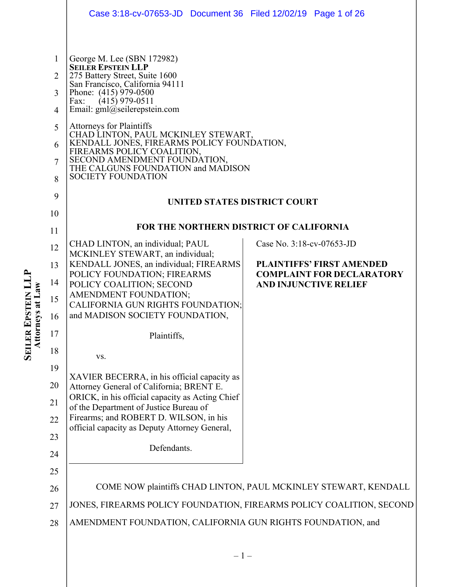|                                                                         |                                                                                           | Case 3:18-cv-07653-JD  Document 36  Filed 12/02/19  Page 1 of 26                                                                                                                                                                                                                                                                                                                                                                                                                                                                            |                                                                      |
|-------------------------------------------------------------------------|-------------------------------------------------------------------------------------------|---------------------------------------------------------------------------------------------------------------------------------------------------------------------------------------------------------------------------------------------------------------------------------------------------------------------------------------------------------------------------------------------------------------------------------------------------------------------------------------------------------------------------------------------|----------------------------------------------------------------------|
|                                                                         |                                                                                           |                                                                                                                                                                                                                                                                                                                                                                                                                                                                                                                                             |                                                                      |
|                                                                         | $\mathbf{1}$<br>$\overline{2}$<br>3<br>$\overline{4}$<br>5<br>6<br>$\tau$<br>8<br>9<br>10 | George M. Lee (SBN 172982)<br><b>SEILER EPSTEIN LLP</b><br>275 Battery Street, Suite 1600<br>San Francisco, California 94111<br>Phone: (415) 979-0500<br>$(415)$ 979-0511<br>Fax:<br>Email: gml@seilerepstein.com<br>Attorneys for Plaintiffs<br>CHAD LINTON, PAUL MCKINLEY STEWART,<br>KENDALL JONES, FIREARMS POLICY FOUNDATION,<br>FIREARMS POLICY COALITION,<br>SECOND AMENDMENT FOUNDATION, THE CALGUNS FOUNDATION and MADISON<br><b>SOCIETY FOUNDATION</b><br>UNITED STATES DISTRICT COURT<br>FOR THE NORTHERN DISTRICT OF CALIFORNIA |                                                                      |
|                                                                         | 11                                                                                        |                                                                                                                                                                                                                                                                                                                                                                                                                                                                                                                                             |                                                                      |
|                                                                         | 12                                                                                        | CHAD LINTON, an individual; PAUL<br>MCKINLEY STEWART, an individual;                                                                                                                                                                                                                                                                                                                                                                                                                                                                        | Case No. 3:18-cv-07653-JD                                            |
|                                                                         | 13                                                                                        | KENDALL JONES, an individual; FIREARMS<br>POLICY FOUNDATION; FIREARMS                                                                                                                                                                                                                                                                                                                                                                                                                                                                       | <b>PLAINTIFFS' FIRST AMENDED</b><br><b>COMPLAINT FOR DECLARATORY</b> |
|                                                                         | 14                                                                                        | POLICY COALITION; SECOND                                                                                                                                                                                                                                                                                                                                                                                                                                                                                                                    | <b>AND INJUNCTIVE RELIEF</b>                                         |
| <b>EPSTEIN LI</b><br><b>LER EPSTEIN L</b><br>Attorneys at Law<br>SEILEI | 15                                                                                        | AMENDMENT FOUNDATION;<br>CALIFORNIA GUN RIGHTS FOUNDATION;                                                                                                                                                                                                                                                                                                                                                                                                                                                                                  |                                                                      |
|                                                                         | 16                                                                                        | and MADISON SOCIETY FOUNDATION,                                                                                                                                                                                                                                                                                                                                                                                                                                                                                                             |                                                                      |
|                                                                         | 17                                                                                        | Plaintiffs,                                                                                                                                                                                                                                                                                                                                                                                                                                                                                                                                 |                                                                      |
|                                                                         | 18                                                                                        | VS.                                                                                                                                                                                                                                                                                                                                                                                                                                                                                                                                         |                                                                      |
|                                                                         | 19                                                                                        | XAVIER BECERRA, in his official capacity as                                                                                                                                                                                                                                                                                                                                                                                                                                                                                                 |                                                                      |
|                                                                         | 20                                                                                        | Attorney General of California; BRENT E.                                                                                                                                                                                                                                                                                                                                                                                                                                                                                                    |                                                                      |
|                                                                         | 21                                                                                        | ORICK, in his official capacity as Acting Chief<br>of the Department of Justice Bureau of                                                                                                                                                                                                                                                                                                                                                                                                                                                   |                                                                      |
|                                                                         | 22                                                                                        | Firearms; and ROBERT D. WILSON, in his                                                                                                                                                                                                                                                                                                                                                                                                                                                                                                      |                                                                      |
|                                                                         | 23                                                                                        | official capacity as Deputy Attorney General,                                                                                                                                                                                                                                                                                                                                                                                                                                                                                               |                                                                      |
|                                                                         | 24                                                                                        | Defendants.                                                                                                                                                                                                                                                                                                                                                                                                                                                                                                                                 |                                                                      |
|                                                                         | 25                                                                                        |                                                                                                                                                                                                                                                                                                                                                                                                                                                                                                                                             |                                                                      |
|                                                                         | 26                                                                                        |                                                                                                                                                                                                                                                                                                                                                                                                                                                                                                                                             | COME NOW plaintiffs CHAD LINTON, PAUL MCKINLEY STEWART, KENDALL      |
|                                                                         | 27                                                                                        | JONES, FIREARMS POLICY FOUNDATION, FIREARMS POLICY COALITION, SECOND                                                                                                                                                                                                                                                                                                                                                                                                                                                                        |                                                                      |
|                                                                         | 28                                                                                        | AMENDMENT FOUNDATION, CALIFORNIA GUN RIGHTS FOUNDATION, and                                                                                                                                                                                                                                                                                                                                                                                                                                                                                 |                                                                      |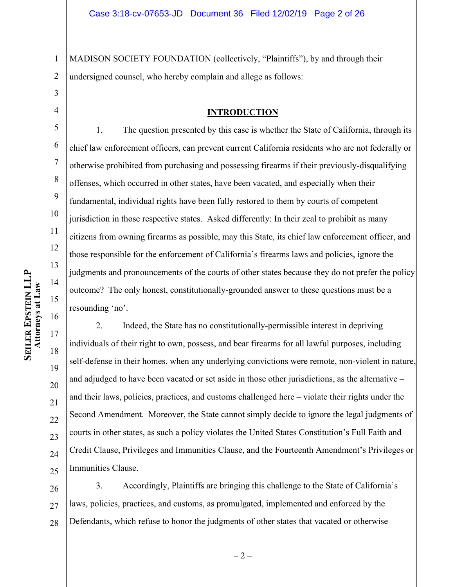1 2 MADISON SOCIETY FOUNDATION (collectively, "Plaintiffs"), by and through their undersigned counsel, who hereby complain and allege as follows:

## 3 4

5

6

7

8

9

10

11

12

13

14

15

16

17

18

19

20

21

22

23

24

25

#### **INTRODUCTION**

1. The question presented by this case is whether the State of California, through its chief law enforcement officers, can prevent current California residents who are not federally or otherwise prohibited from purchasing and possessing firearms if their previously-disqualifying offenses, which occurred in other states, have been vacated, and especially when their fundamental, individual rights have been fully restored to them by courts of competent jurisdiction in those respective states. Asked differently: In their zeal to prohibit as many citizens from owning firearms as possible, may this State, its chief law enforcement officer, and those responsible for the enforcement of California's firearms laws and policies, ignore the judgments and pronouncements of the courts of other states because they do not prefer the policy outcome? The only honest, constitutionally-grounded answer to these questions must be a resounding 'no'.

2. Indeed, the State has no constitutionally-permissible interest in depriving individuals of their right to own, possess, and bear firearms for all lawful purposes, including self-defense in their homes, when any underlying convictions were remote, non-violent in nature, and adjudged to have been vacated or set aside in those other jurisdictions, as the alternative – and their laws, policies, practices, and customs challenged here – violate their rights under the Second Amendment. Moreover, the State cannot simply decide to ignore the legal judgments of courts in other states, as such a policy violates the United States Constitution's Full Faith and Credit Clause, Privileges and Immunities Clause, and the Fourteenth Amendment's Privileges or Immunities Clause.

26 27 28 3. Accordingly, Plaintiffs are bringing this challenge to the State of California's laws, policies, practices, and customs, as promulgated, implemented and enforced by the Defendants, which refuse to honor the judgments of other states that vacated or otherwise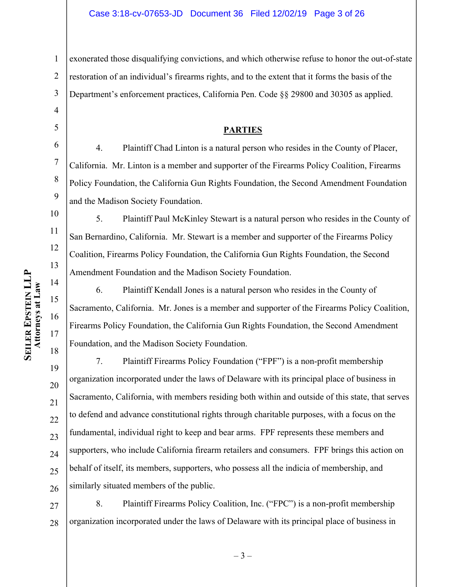exonerated those disqualifying convictions, and which otherwise refuse to honor the out-of-state

2 restoration of an individual's firearms rights, and to the extent that it forms the basis of the

Department's enforcement practices, California Pen. Code §§ 29800 and 30305 as applied.

#### **PARTIES**

4. Plaintiff Chad Linton is a natural person who resides in the County of Placer, California. Mr. Linton is a member and supporter of the Firearms Policy Coalition, Firearms Policy Foundation, the California Gun Rights Foundation, the Second Amendment Foundation and the Madison Society Foundation.

5. Plaintiff Paul McKinley Stewart is a natural person who resides in the County of San Bernardino, California. Mr. Stewart is a member and supporter of the Firearms Policy Coalition, Firearms Policy Foundation, the California Gun Rights Foundation, the Second Amendment Foundation and the Madison Society Foundation.

6. Plaintiff Kendall Jones is a natural person who resides in the County of Sacramento, California. Mr. Jones is a member and supporter of the Firearms Policy Coalition, Firearms Policy Foundation, the California Gun Rights Foundation, the Second Amendment Foundation, and the Madison Society Foundation.

19 20 21 22 23 24 25 26 7. Plaintiff Firearms Policy Foundation ("FPF") is a non-profit membership organization incorporated under the laws of Delaware with its principal place of business in Sacramento, California, with members residing both within and outside of this state, that serves to defend and advance constitutional rights through charitable purposes, with a focus on the fundamental, individual right to keep and bear arms. FPF represents these members and supporters, who include California firearm retailers and consumers. FPF brings this action on behalf of itself, its members, supporters, who possess all the indicia of membership, and similarly situated members of the public.

27 28 8. Plaintiff Firearms Policy Coalition, Inc. ("FPC") is a non-profit membership organization incorporated under the laws of Delaware with its principal place of business in

1

3

4

5

6

7

8

9

10

11

12

13

14

15

16

17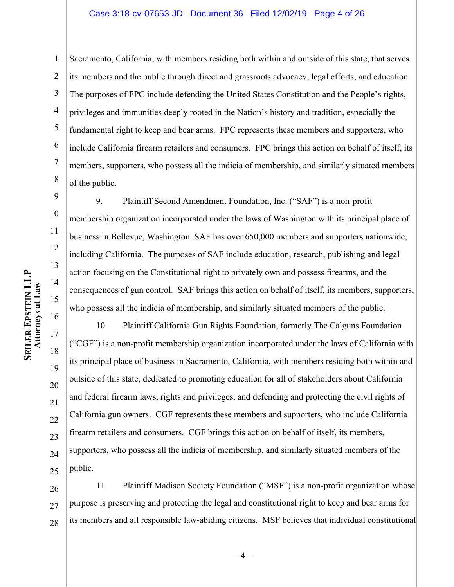#### Case 3:18-cv-07653-JD Document 36 Filed 12/02/19 Page 4 of 26

1 2 3 4 5 6 7 8 Sacramento, California, with members residing both within and outside of this state, that serves its members and the public through direct and grassroots advocacy, legal efforts, and education. The purposes of FPC include defending the United States Constitution and the People's rights, privileges and immunities deeply rooted in the Nation's history and tradition, especially the fundamental right to keep and bear arms. FPC represents these members and supporters, who include California firearm retailers and consumers. FPC brings this action on behalf of itself, its members, supporters, who possess all the indicia of membership, and similarly situated members of the public.

9. Plaintiff Second Amendment Foundation, Inc. ("SAF") is a non-profit membership organization incorporated under the laws of Washington with its principal place of business in Bellevue, Washington. SAF has over 650,000 members and supporters nationwide, including California. The purposes of SAF include education, research, publishing and legal action focusing on the Constitutional right to privately own and possess firearms, and the consequences of gun control. SAF brings this action on behalf of itself, its members, supporters, who possess all the indicia of membership, and similarly situated members of the public.

10. Plaintiff California Gun Rights Foundation, formerly The Calguns Foundation ("CGF") is a non-profit membership organization incorporated under the laws of California with its principal place of business in Sacramento, California, with members residing both within and outside of this state, dedicated to promoting education for all of stakeholders about California and federal firearm laws, rights and privileges, and defending and protecting the civil rights of California gun owners. CGF represents these members and supporters, who include California firearm retailers and consumers. CGF brings this action on behalf of itself, its members, supporters, who possess all the indicia of membership, and similarly situated members of the public.

26 27 28 11. Plaintiff Madison Society Foundation ("MSF") is a non-profit organization whose purpose is preserving and protecting the legal and constitutional right to keep and bear arms for its members and all responsible law-abiding citizens. MSF believes that individual constitutional

9

10

11

12

13

14

15

16

17

18

19

20

21

22

23

24

25

 $-4-$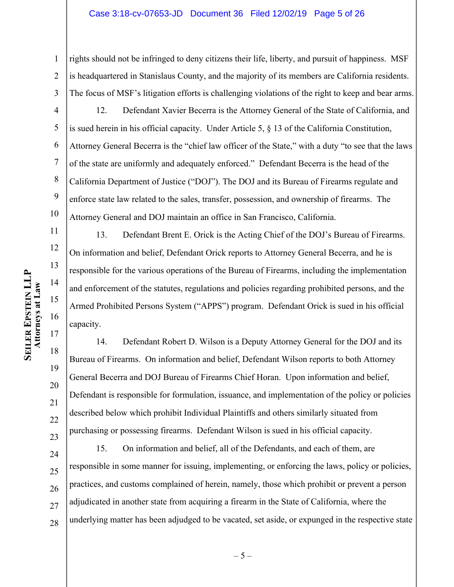#### Case 3:18-cv-07653-JD Document 36 Filed 12/02/19 Page 5 of 26

1 2 3 rights should not be infringed to deny citizens their life, liberty, and pursuit of happiness. MSF is headquartered in Stanislaus County, and the majority of its members are California residents. The focus of MSF's litigation efforts is challenging violations of the right to keep and bear arms.

4 5 6 7 8 9 10 12. Defendant Xavier Becerra is the Attorney General of the State of California, and is sued herein in his official capacity. Under Article 5, § 13 of the California Constitution, Attorney General Becerra is the "chief law officer of the State," with a duty "to see that the laws of the state are uniformly and adequately enforced." Defendant Becerra is the head of the California Department of Justice ("DOJ"). The DOJ and its Bureau of Firearms regulate and enforce state law related to the sales, transfer, possession, and ownership of firearms. The Attorney General and DOJ maintain an office in San Francisco, California.

13. Defendant Brent E. Orick is the Acting Chief of the DOJ's Bureau of Firearms. On information and belief, Defendant Orick reports to Attorney General Becerra, and he is responsible for the various operations of the Bureau of Firearms, including the implementation and enforcement of the statutes, regulations and policies regarding prohibited persons, and the Armed Prohibited Persons System ("APPS") program. Defendant Orick is sued in his official capacity.

14. Defendant Robert D. Wilson is a Deputy Attorney General for the DOJ and its Bureau of Firearms. On information and belief, Defendant Wilson reports to both Attorney General Becerra and DOJ Bureau of Firearms Chief Horan. Upon information and belief, Defendant is responsible for formulation, issuance, and implementation of the policy or policies described below which prohibit Individual Plaintiffs and others similarly situated from purchasing or possessing firearms. Defendant Wilson is sued in his official capacity.

24 25 26 27 28 15. On information and belief, all of the Defendants, and each of them, are responsible in some manner for issuing, implementing, or enforcing the laws, policy or policies, practices, and customs complained of herein, namely, those which prohibit or prevent a person adjudicated in another state from acquiring a firearm in the State of California, where the underlying matter has been adjudged to be vacated, set aside, or expunged in the respective state

11

12

13

14

15

16

17

18

19

20

21

22

23

 $-5-$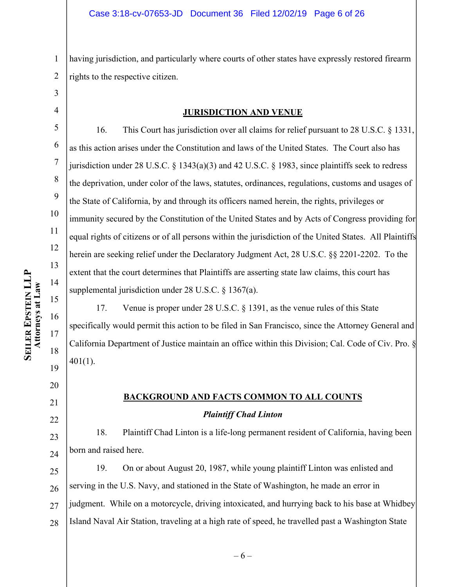1 2 having jurisdiction, and particularly where courts of other states have expressly restored firearm rights to the respective citizen.

3 4

5

6

7

8

9

10

11

12

13

14

15

16

17

18

19

20

21

#### **JURISDICTION AND VENUE**

16. This Court has jurisdiction over all claims for relief pursuant to 28 U.S.C. § 1331, as this action arises under the Constitution and laws of the United States. The Court also has jurisdiction under 28 U.S.C. § 1343(a)(3) and 42 U.S.C. § 1983, since plaintiffs seek to redress the deprivation, under color of the laws, statutes, ordinances, regulations, customs and usages of the State of California, by and through its officers named herein, the rights, privileges or immunity secured by the Constitution of the United States and by Acts of Congress providing for equal rights of citizens or of all persons within the jurisdiction of the United States. All Plaintiffs herein are seeking relief under the Declaratory Judgment Act, 28 U.S.C. §§ 2201-2202. To the extent that the court determines that Plaintiffs are asserting state law claims, this court has supplemental jurisdiction under 28 U.S.C. § 1367(a).

17. Venue is proper under 28 U.S.C. § 1391, as the venue rules of this State specifically would permit this action to be filed in San Francisco, since the Attorney General and California Department of Justice maintain an office within this Division; Cal. Code of Civ. Pro. § 401(1).

# **BACKGROUND AND FACTS COMMON TO ALL COUNTS** *Plaintiff Chad Linton*

18. Plaintiff Chad Linton is a life-long permanent resident of California, having been born and raised here.

25 26 27 28 19. On or about August 20, 1987, while young plaintiff Linton was enlisted and serving in the U.S. Navy, and stationed in the State of Washington, he made an error in judgment. While on a motorcycle, driving intoxicated, and hurrying back to his base at Whidbey Island Naval Air Station, traveling at a high rate of speed, he travelled past a Washington State

22 23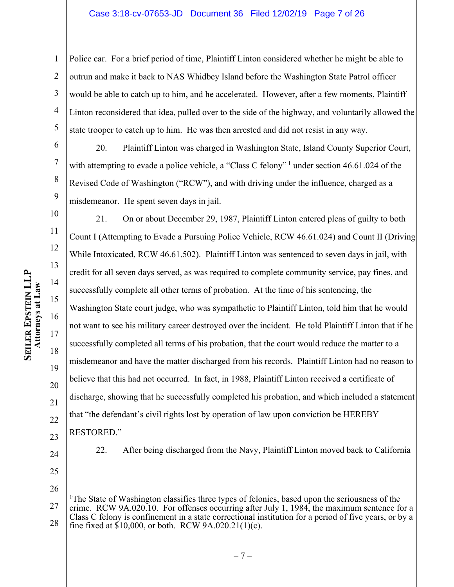#### Case 3:18-cv-07653-JD Document 36 Filed 12/02/19 Page 7 of 26

1 2 3 4 5 Police car. For a brief period of time, Plaintiff Linton considered whether he might be able to outrun and make it back to NAS Whidbey Island before the Washington State Patrol officer would be able to catch up to him, and he accelerated. However, after a few moments, Plaintiff Linton reconsidered that idea, pulled over to the side of the highway, and voluntarily allowed the state trooper to catch up to him. He was then arrested and did not resist in any way.

6 7 8 9 20. Plaintiff Linton was charged in Washington State, Island County Superior Court, with attempting to evade a police vehicle, a "Class C felony"  $\frac{1}{2}$  under section 46.61.024 of the Revised Code of Washington ("RCW"), and with driving under the influence, charged as a misdemeanor. He spent seven days in jail.

10 12 16 20 22 21. On or about December 29, 1987, Plaintiff Linton entered pleas of guilty to both Count I (Attempting to Evade a Pursuing Police Vehicle, RCW 46.61.024) and Count II (Driving While Intoxicated, RCW 46.61.502). Plaintiff Linton was sentenced to seven days in jail, with credit for all seven days served, as was required to complete community service, pay fines, and successfully complete all other terms of probation. At the time of his sentencing, the Washington State court judge, who was sympathetic to Plaintiff Linton, told him that he would not want to see his military career destroyed over the incident. He told Plaintiff Linton that if he successfully completed all terms of his probation, that the court would reduce the matter to a misdemeanor and have the matter discharged from his records. Plaintiff Linton had no reason to believe that this had not occurred. In fact, in 1988, Plaintiff Linton received a certificate of discharge, showing that he successfully completed his probation, and which included a statement that "the defendant's civil rights lost by operation of law upon conviction be HEREBY RESTORED."

23 24

25

26

11

13

14

15

17

18

19

<sup>22.</sup> After being discharged from the Navy, Plaintiff Linton moved back to California

<sup>27</sup> 28 <sup>1</sup>The State of Washington classifies three types of felonies, based upon the seriousness of the crime. RCW 9A.020.10. For offenses occurring after July 1, 1984, the maximum sentence for a Class C felony is confinement in a state correctional institution for a period of five years, or by a fine fixed at  $$10,000$ , or both. RCW 9A.020.21(1)(c).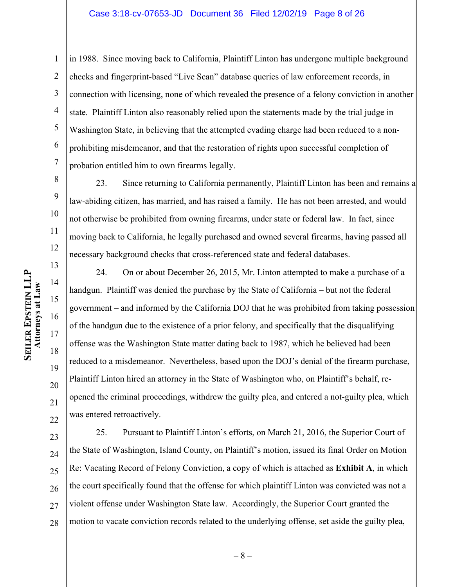#### Case 3:18-cv-07653-JD Document 36 Filed 12/02/19 Page 8 of 26

1 2 3 4 5 6 7 in 1988. Since moving back to California, Plaintiff Linton has undergone multiple background checks and fingerprint-based "Live Scan" database queries of law enforcement records, in connection with licensing, none of which revealed the presence of a felony conviction in another state. Plaintiff Linton also reasonably relied upon the statements made by the trial judge in Washington State, in believing that the attempted evading charge had been reduced to a nonprohibiting misdemeanor, and that the restoration of rights upon successful completion of probation entitled him to own firearms legally.

23. Since returning to California permanently, Plaintiff Linton has been and remains a law-abiding citizen, has married, and has raised a family. He has not been arrested, and would not otherwise be prohibited from owning firearms, under state or federal law. In fact, since moving back to California, he legally purchased and owned several firearms, having passed all necessary background checks that cross-referenced state and federal databases.

24. On or about December 26, 2015, Mr. Linton attempted to make a purchase of a handgun. Plaintiff was denied the purchase by the State of California – but not the federal government – and informed by the California DOJ that he was prohibited from taking possession of the handgun due to the existence of a prior felony, and specifically that the disqualifying offense was the Washington State matter dating back to 1987, which he believed had been reduced to a misdemeanor. Nevertheless, based upon the DOJ's denial of the firearm purchase, Plaintiff Linton hired an attorney in the State of Washington who, on Plaintiff's behalf, reopened the criminal proceedings, withdrew the guilty plea, and entered a not-guilty plea, which was entered retroactively.

23 24 25 26 27 28 25. Pursuant to Plaintiff Linton's efforts, on March 21, 2016, the Superior Court of the State of Washington, Island County, on Plaintiff's motion, issued its final Order on Motion Re: Vacating Record of Felony Conviction, a copy of which is attached as **Exhibit A**, in which the court specifically found that the offense for which plaintiff Linton was convicted was not a violent offense under Washington State law. Accordingly, the Superior Court granted the motion to vacate conviction records related to the underlying offense, set aside the guilty plea,

8

9

10

11

12

13

14

15

16

17

18

19

20

21

22

– 8 –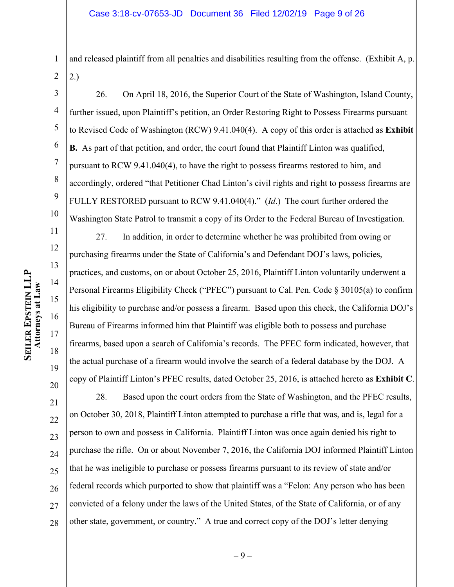1 2 and released plaintiff from all penalties and disabilities resulting from the offense. (Exhibit A, p. 2.)

3 4 5 6 7 8 9 10 26. On April 18, 2016, the Superior Court of the State of Washington, Island County, further issued, upon Plaintiff's petition, an Order Restoring Right to Possess Firearms pursuant to Revised Code of Washington (RCW) 9.41.040(4). A copy of this order is attached as **Exhibit B.** As part of that petition, and order, the court found that Plaintiff Linton was qualified, pursuant to RCW 9.41.040(4), to have the right to possess firearms restored to him, and accordingly, ordered "that Petitioner Chad Linton's civil rights and right to possess firearms are FULLY RESTORED pursuant to RCW 9.41.040(4)." (*Id*.) The court further ordered the Washington State Patrol to transmit a copy of its Order to the Federal Bureau of Investigation.

27. In addition, in order to determine whether he was prohibited from owing or purchasing firearms under the State of California's and Defendant DOJ's laws, policies, practices, and customs, on or about October 25, 2016, Plaintiff Linton voluntarily underwent a Personal Firearms Eligibility Check ("PFEC") pursuant to Cal. Pen. Code § 30105(a) to confirm his eligibility to purchase and/or possess a firearm. Based upon this check, the California DOJ's Bureau of Firearms informed him that Plaintiff was eligible both to possess and purchase firearms, based upon a search of California's records. The PFEC form indicated, however, that the actual purchase of a firearm would involve the search of a federal database by the DOJ. A copy of Plaintiff Linton's PFEC results, dated October 25, 2016, is attached hereto as **Exhibit C**.

21 22 23 24 25 26 27 28 28. Based upon the court orders from the State of Washington, and the PFEC results, on October 30, 2018, Plaintiff Linton attempted to purchase a rifle that was, and is, legal for a person to own and possess in California. Plaintiff Linton was once again denied his right to purchase the rifle. On or about November 7, 2016, the California DOJ informed Plaintiff Linton that he was ineligible to purchase or possess firearms pursuant to its review of state and/or federal records which purported to show that plaintiff was a "Felon: Any person who has been convicted of a felony under the laws of the United States, of the State of California, or of any other state, government, or country." A true and correct copy of the DOJ's letter denying

11

12

13

14

15

16

17

18

19

20

– 9 –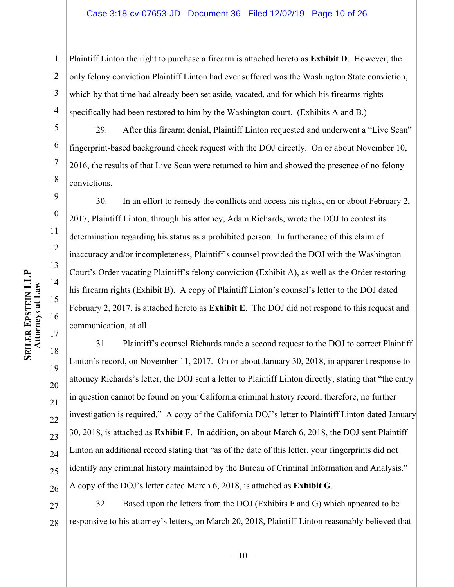#### Case 3:18-cv-07653-JD Document 36 Filed 12/02/19 Page 10 of 26

1 2 3 4 Plaintiff Linton the right to purchase a firearm is attached hereto as **Exhibit D**. However, the only felony conviction Plaintiff Linton had ever suffered was the Washington State conviction, which by that time had already been set aside, vacated, and for which his firearms rights specifically had been restored to him by the Washington court. (Exhibits A and B.)

5 6 7 8 29. After this firearm denial, Plaintiff Linton requested and underwent a "Live Scan" fingerprint-based background check request with the DOJ directly. On or about November 10, 2016, the results of that Live Scan were returned to him and showed the presence of no felony convictions.

30. In an effort to remedy the conflicts and access his rights, on or about February 2, 2017, Plaintiff Linton, through his attorney, Adam Richards, wrote the DOJ to contest its determination regarding his status as a prohibited person. In furtherance of this claim of inaccuracy and/or incompleteness, Plaintiff's counsel provided the DOJ with the Washington Court's Order vacating Plaintiff's felony conviction (Exhibit A), as well as the Order restoring his firearm rights (Exhibit B). A copy of Plaintiff Linton's counsel's letter to the DOJ dated February 2, 2017, is attached hereto as **Exhibit E**. The DOJ did not respond to this request and communication, at all.

18 19 20 21 22 23 24 25 26 31. Plaintiff's counsel Richards made a second request to the DOJ to correct Plaintiff Linton's record, on November 11, 2017. On or about January 30, 2018, in apparent response to attorney Richards's letter, the DOJ sent a letter to Plaintiff Linton directly, stating that "the entry in question cannot be found on your California criminal history record, therefore, no further investigation is required." A copy of the California DOJ's letter to Plaintiff Linton dated January 30, 2018, is attached as **Exhibit F**. In addition, on about March 6, 2018, the DOJ sent Plaintiff Linton an additional record stating that "as of the date of this letter, your fingerprints did not identify any criminal history maintained by the Bureau of Criminal Information and Analysis." A copy of the DOJ's letter dated March 6, 2018, is attached as **Exhibit G**.

27 28 32. Based upon the letters from the DOJ (Exhibits F and G) which appeared to be responsive to his attorney's letters, on March 20, 2018, Plaintiff Linton reasonably believed that

9

10

11

12

13

14

15

16

17

 $-10-$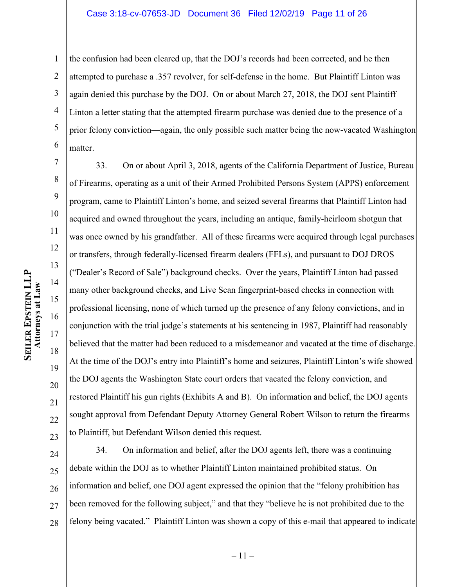#### Case 3:18-cv-07653-JD Document 36 Filed 12/02/19 Page 11 of 26

1 2 3 4 5 6 the confusion had been cleared up, that the DOJ's records had been corrected, and he then attempted to purchase a .357 revolver, for self-defense in the home. But Plaintiff Linton was again denied this purchase by the DOJ. On or about March 27, 2018, the DOJ sent Plaintiff Linton a letter stating that the attempted firearm purchase was denied due to the presence of a prior felony conviction—again, the only possible such matter being the now-vacated Washington matter.

7 8 10 11 12 13 16 20 22 33. On or about April 3, 2018, agents of the California Department of Justice, Bureau of Firearms, operating as a unit of their Armed Prohibited Persons System (APPS) enforcement program, came to Plaintiff Linton's home, and seized several firearms that Plaintiff Linton had acquired and owned throughout the years, including an antique, family-heirloom shotgun that was once owned by his grandfather. All of these firearms were acquired through legal purchases or transfers, through federally-licensed firearm dealers (FFLs), and pursuant to DOJ DROS ("Dealer's Record of Sale") background checks. Over the years, Plaintiff Linton had passed many other background checks, and Live Scan fingerprint-based checks in connection with professional licensing, none of which turned up the presence of any felony convictions, and in conjunction with the trial judge's statements at his sentencing in 1987, Plaintiff had reasonably believed that the matter had been reduced to a misdemeanor and vacated at the time of discharge. At the time of the DOJ's entry into Plaintiff's home and seizures, Plaintiff Linton's wife showed the DOJ agents the Washington State court orders that vacated the felony conviction, and restored Plaintiff his gun rights (Exhibits A and B). On information and belief, the DOJ agents sought approval from Defendant Deputy Attorney General Robert Wilson to return the firearms to Plaintiff, but Defendant Wilson denied this request.

24 25 26 27 28 34. On information and belief, after the DOJ agents left, there was a continuing debate within the DOJ as to whether Plaintiff Linton maintained prohibited status. On information and belief, one DOJ agent expressed the opinion that the "felony prohibition has been removed for the following subject," and that they "believe he is not prohibited due to the felony being vacated." Plaintiff Linton was shown a copy of this e-mail that appeared to indicate

9

14

15

17

18

19

21

23

– 11 –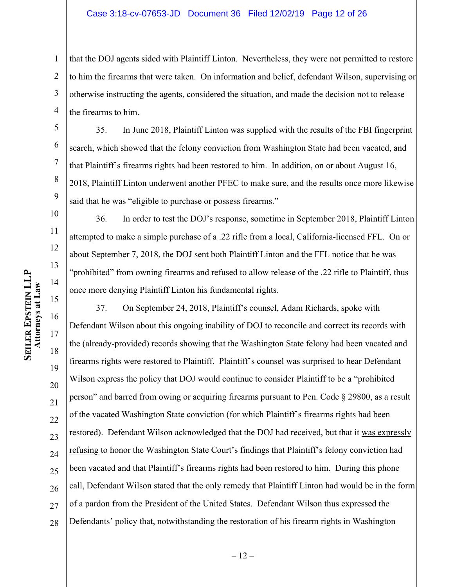#### Case 3:18-cv-07653-JD Document 36 Filed 12/02/19 Page 12 of 26

1 2 3 4 that the DOJ agents sided with Plaintiff Linton. Nevertheless, they were not permitted to restore to him the firearms that were taken. On information and belief, defendant Wilson, supervising or otherwise instructing the agents, considered the situation, and made the decision not to release the firearms to him.

35. In June 2018, Plaintiff Linton was supplied with the results of the FBI fingerprint search, which showed that the felony conviction from Washington State had been vacated, and that Plaintiff's firearms rights had been restored to him. In addition, on or about August 16, 2018, Plaintiff Linton underwent another PFEC to make sure, and the results once more likewise said that he was "eligible to purchase or possess firearms."

36. In order to test the DOJ's response, sometime in September 2018, Plaintiff Linton attempted to make a simple purchase of a .22 rifle from a local, California-licensed FFL. On or about September 7, 2018, the DOJ sent both Plaintiff Linton and the FFL notice that he was "prohibited" from owning firearms and refused to allow release of the .22 rifle to Plaintiff, thus once more denying Plaintiff Linton his fundamental rights.

37. On September 24, 2018, Plaintiff's counsel, Adam Richards, spoke with Defendant Wilson about this ongoing inability of DOJ to reconcile and correct its records with the (already-provided) records showing that the Washington State felony had been vacated and firearms rights were restored to Plaintiff. Plaintiff's counsel was surprised to hear Defendant Wilson express the policy that DOJ would continue to consider Plaintiff to be a "prohibited person" and barred from owing or acquiring firearms pursuant to Pen. Code § 29800, as a result of the vacated Washington State conviction (for which Plaintiff's firearms rights had been restored). Defendant Wilson acknowledged that the DOJ had received, but that it was expressly refusing to honor the Washington State Court's findings that Plaintiff's felony conviction had been vacated and that Plaintiff's firearms rights had been restored to him. During this phone call, Defendant Wilson stated that the only remedy that Plaintiff Linton had would be in the form of a pardon from the President of the United States. Defendant Wilson thus expressed the Defendants' policy that, notwithstanding the restoration of his firearm rights in Washington

5

6

7

8

9

10

11

12

13

14

15

16

17

18

19

20

21

22

23

24

25

26

27

28

 $-12-$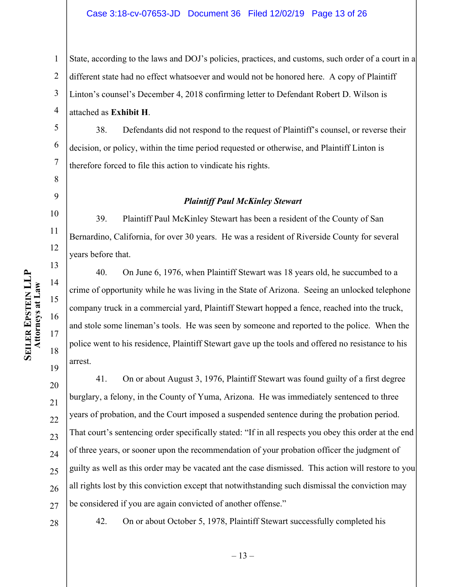1 State, according to the laws and DOJ's policies, practices, and customs, such order of a court in a

2 different state had no effect whatsoever and would not be honored here. A copy of Plaintiff

3 Linton's counsel's December 4, 2018 confirming letter to Defendant Robert D. Wilson is

4 attached as **Exhibit H**.

5 38. Defendants did not respond to the request of Plaintiff's counsel, or reverse their decision, or policy, within the time period requested or otherwise, and Plaintiff Linton is therefore forced to file this action to vindicate his rights.

## *Plaintiff Paul McKinley Stewart*

39. Plaintiff Paul McKinley Stewart has been a resident of the County of San Bernardino, California, for over 30 years. He was a resident of Riverside County for several years before that.

40. On June 6, 1976, when Plaintiff Stewart was 18 years old, he succumbed to a crime of opportunity while he was living in the State of Arizona. Seeing an unlocked telephone company truck in a commercial yard, Plaintiff Stewart hopped a fence, reached into the truck, and stole some lineman's tools. He was seen by someone and reported to the police. When the police went to his residence, Plaintiff Stewart gave up the tools and offered no resistance to his arrest.

20 21 22 23 24 25 26 27 41. On or about August 3, 1976, Plaintiff Stewart was found guilty of a first degree burglary, a felony, in the County of Yuma, Arizona. He was immediately sentenced to three years of probation, and the Court imposed a suspended sentence during the probation period. That court's sentencing order specifically stated: "If in all respects you obey this order at the end of three years, or sooner upon the recommendation of your probation officer the judgment of guilty as well as this order may be vacated ant the case dismissed. This action will restore to you all rights lost by this conviction except that notwithstanding such dismissal the conviction may be considered if you are again convicted of another offense."

42. On or about October 5, 1978, Plaintiff Stewart successfully completed his

6

7

8

9

10

11

12

13

14

15

16

17

18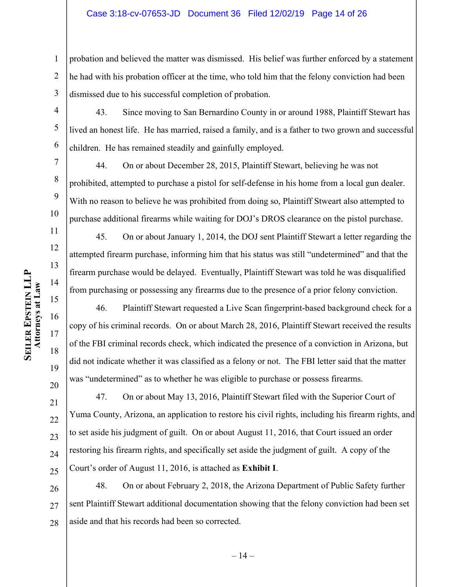#### Case 3:18-cv-07653-JD Document 36 Filed 12/02/19 Page 14 of 26

1 2 3 probation and believed the matter was dismissed. His belief was further enforced by a statement he had with his probation officer at the time, who told him that the felony conviction had been dismissed due to his successful completion of probation.

4 43. Since moving to San Bernardino County in or around 1988, Plaintiff Stewart has lived an honest life. He has married, raised a family, and is a father to two grown and successful children. He has remained steadily and gainfully employed.

44. On or about December 28, 2015, Plaintiff Stewart, believing he was not prohibited, attempted to purchase a pistol for self-defense in his home from a local gun dealer. With no reason to believe he was prohibited from doing so, Plaintiff Stweart also attempted to purchase additional firearms while waiting for DOJ's DROS clearance on the pistol purchase.

45. On or about January 1, 2014, the DOJ sent Plaintiff Stewart a letter regarding the attempted firearm purchase, informing him that his status was still "undetermined" and that the firearm purchase would be delayed. Eventually, Plaintiff Stewart was told he was disqualified from purchasing or possessing any firearms due to the presence of a prior felony conviction.

46. Plaintiff Stewart requested a Live Scan fingerprint-based background check for a copy of his criminal records. On or about March 28, 2016, Plaintiff Stewart received the results of the FBI criminal records check, which indicated the presence of a conviction in Arizona, but did not indicate whether it was classified as a felony or not. The FBI letter said that the matter was "undetermined" as to whether he was eligible to purchase or possess firearms.

24 47. On or about May 13, 2016, Plaintiff Stewart filed with the Superior Court of Yuma County, Arizona, an application to restore his civil rights, including his firearm rights, and to set aside his judgment of guilt. On or about August 11, 2016, that Court issued an order restoring his firearm rights, and specifically set aside the judgment of guilt. A copy of the Court's order of August 11, 2016, is attached as **Exhibit I**.

26 27 28 48. On or about February 2, 2018, the Arizona Department of Public Safety further sent Plaintiff Stewart additional documentation showing that the felony conviction had been set aside and that his records had been so corrected.

5

6

7

8

9

10

11

12

13

14

15

16

17

18

19

20

21

22

23

25

– 14 –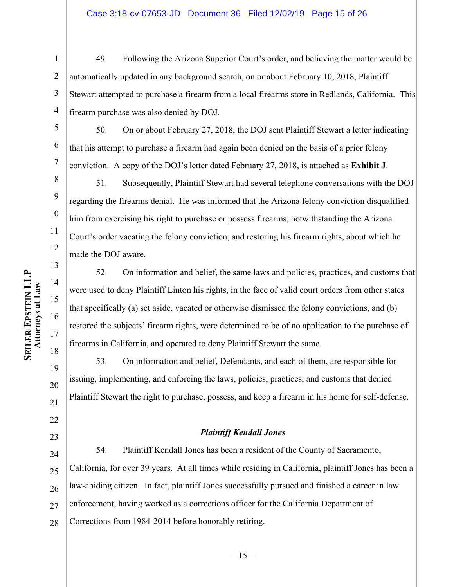#### Case 3:18-cv-07653-JD Document 36 Filed 12/02/19 Page 15 of 26

1 2 3 4 49. Following the Arizona Superior Court's order, and believing the matter would be automatically updated in any background search, on or about February 10, 2018, Plaintiff Stewart attempted to purchase a firearm from a local firearms store in Redlands, California. This firearm purchase was also denied by DOJ.

50. On or about February 27, 2018, the DOJ sent Plaintiff Stewart a letter indicating that his attempt to purchase a firearm had again been denied on the basis of a prior felony conviction. A copy of the DOJ's letter dated February 27, 2018, is attached as **Exhibit J**.

8 10 12 51. Subsequently, Plaintiff Stewart had several telephone conversations with the DOJ regarding the firearms denial. He was informed that the Arizona felony conviction disqualified him from exercising his right to purchase or possess firearms, notwithstanding the Arizona Court's order vacating the felony conviction, and restoring his firearm rights, about which he made the DOJ aware.

52. On information and belief, the same laws and policies, practices, and customs that were used to deny Plaintiff Linton his rights, in the face of valid court orders from other states that specifically (a) set aside, vacated or otherwise dismissed the felony convictions, and (b) restored the subjects' firearm rights, were determined to be of no application to the purchase of firearms in California, and operated to deny Plaintiff Stewart the same.

53. On information and belief, Defendants, and each of them, are responsible for issuing, implementing, and enforcing the laws, policies, practices, and customs that denied Plaintiff Stewart the right to purchase, possess, and keep a firearm in his home for self-defense.

#### *Plaintiff Kendall Jones*

24 25 26 27 28 54. Plaintiff Kendall Jones has been a resident of the County of Sacramento, California, for over 39 years. At all times while residing in California, plaintiff Jones has been a law-abiding citizen. In fact, plaintiff Jones successfully pursued and finished a career in law enforcement, having worked as a corrections officer for the California Department of Corrections from 1984-2014 before honorably retiring.

5

6

7

9

11

13

14

15

16

17

18

19

20

21

22

23

 $-15-$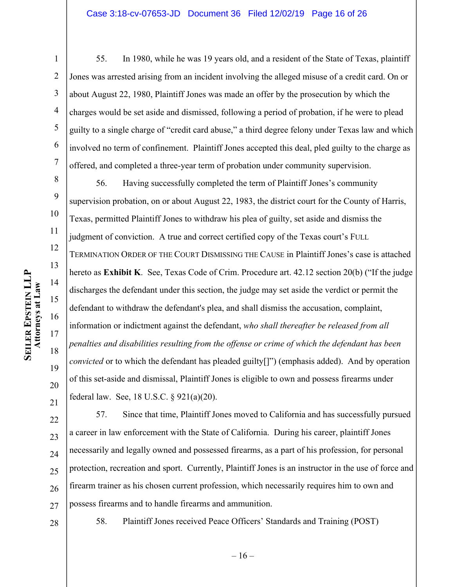#### Case 3:18-cv-07653-JD Document 36 Filed 12/02/19 Page 16 of 26

1 2 3 4 5 6 7 55. In 1980, while he was 19 years old, and a resident of the State of Texas, plaintiff Jones was arrested arising from an incident involving the alleged misuse of a credit card. On or about August 22, 1980, Plaintiff Jones was made an offer by the prosecution by which the charges would be set aside and dismissed, following a period of probation, if he were to plead guilty to a single charge of "credit card abuse," a third degree felony under Texas law and which involved no term of confinement. Plaintiff Jones accepted this deal, pled guilty to the charge as offered, and completed a three-year term of probation under community supervision.

8 9 10 11 12 13 14 15 16 17 18 19 20 21 56. Having successfully completed the term of Plaintiff Jones's community supervision probation, on or about August 22, 1983, the district court for the County of Harris, Texas, permitted Plaintiff Jones to withdraw his plea of guilty, set aside and dismiss the judgment of conviction. A true and correct certified copy of the Texas court's FULL TERMINATION ORDER OF THE COURT DISMISSING THE CAUSE in Plaintiff Jones's case is attached hereto as **Exhibit K**. See, Texas Code of Crim. Procedure art. 42.12 section 20(b) ("If the judge discharges the defendant under this section, the judge may set aside the verdict or permit the defendant to withdraw the defendant's plea, and shall dismiss the accusation, complaint, information or indictment against the defendant, *who shall thereafter be released from all penalties and disabilities resulting from the offense or crime of which the defendant has been convicted* or to which the defendant has pleaded guilty[]") (emphasis added). And by operation of this set-aside and dismissal, Plaintiff Jones is eligible to own and possess firearms under federal law. See, 18 U.S.C. § 921(a)(20).

22 23 24 25 26 27 57. Since that time, Plaintiff Jones moved to California and has successfully pursued a career in law enforcement with the State of California. During his career, plaintiff Jones necessarily and legally owned and possessed firearms, as a part of his profession, for personal protection, recreation and sport. Currently, Plaintiff Jones is an instructor in the use of force and firearm trainer as his chosen current profession, which necessarily requires him to own and possess firearms and to handle firearms and ammunition.

28

58. Plaintiff Jones received Peace Officers' Standards and Training (POST)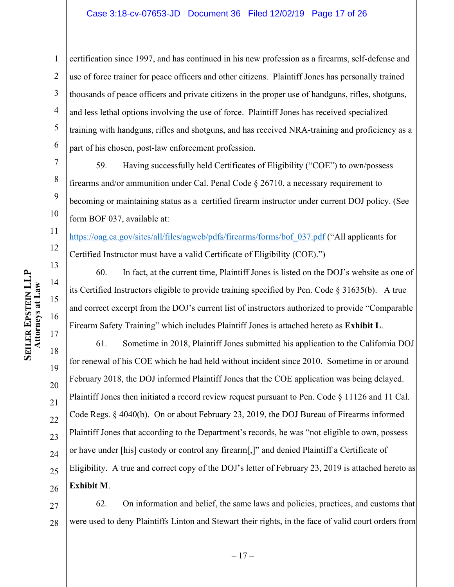#### Case 3:18-cv-07653-JD Document 36 Filed 12/02/19 Page 17 of 26

1 2 3 4 5 6 certification since 1997, and has continued in his new profession as a firearms, self-defense and use of force trainer for peace officers and other citizens. Plaintiff Jones has personally trained thousands of peace officers and private citizens in the proper use of handguns, rifles, shotguns, and less lethal options involving the use of force. Plaintiff Jones has received specialized training with handguns, rifles and shotguns, and has received NRA-training and proficiency as a part of his chosen, post-law enforcement profession.

59. Having successfully held Certificates of Eligibility ("COE") to own/possess firearms and/or ammunition under Cal. Penal Code § 26710, a necessary requirement to becoming or maintaining status as a certified firearm instructor under current DOJ policy. (See form BOF 037, available at:

11 12 https://oag.ca.gov/sites/all/files/agweb/pdfs/firearms/forms/bof\_037.pdf ("All applicants for Certified Instructor must have a valid Certificate of Eligibility (COE).")

60. In fact, at the current time, Plaintiff Jones is listed on the DOJ's website as one of its Certified Instructors eligible to provide training specified by Pen. Code  $\S 31635(b)$ . A true and correct excerpt from the DOJ's current list of instructors authorized to provide "Comparable Firearm Safety Training" which includes Plaintiff Jones is attached hereto as **Exhibit L**.

17 18 19 20 21 22 23 24 25 26 61. Sometime in 2018, Plaintiff Jones submitted his application to the California DOJ for renewal of his COE which he had held without incident since 2010. Sometime in or around February 2018, the DOJ informed Plaintiff Jones that the COE application was being delayed. Plaintiff Jones then initiated a record review request pursuant to Pen. Code § 11126 and 11 Cal. Code Regs. § 4040(b). On or about February 23, 2019, the DOJ Bureau of Firearms informed Plaintiff Jones that according to the Department's records, he was "not eligible to own, possess or have under [his] custody or control any firearm[,]" and denied Plaintiff a Certificate of Eligibility. A true and correct copy of the DOJ's letter of February 23, 2019 is attached hereto as **Exhibit M**.

27 28 62. On information and belief, the same laws and policies, practices, and customs that were used to deny Plaintiffs Linton and Stewart their rights, in the face of valid court orders from

7

8

9

10

13

14

15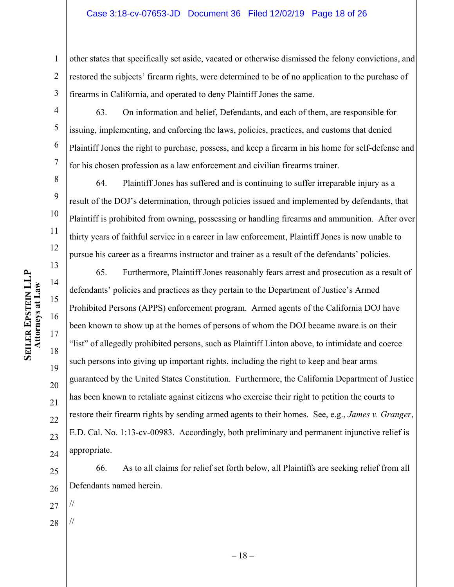#### Case 3:18-cv-07653-JD Document 36 Filed 12/02/19 Page 18 of 26

1 2 3 other states that specifically set aside, vacated or otherwise dismissed the felony convictions, and restored the subjects' firearm rights, were determined to be of no application to the purchase of firearms in California, and operated to deny Plaintiff Jones the same.

4 63. On information and belief, Defendants, and each of them, are responsible for issuing, implementing, and enforcing the laws, policies, practices, and customs that denied Plaintiff Jones the right to purchase, possess, and keep a firearm in his home for self-defense and for his chosen profession as a law enforcement and civilian firearms trainer.

8 10 12 13 64. Plaintiff Jones has suffered and is continuing to suffer irreparable injury as a result of the DOJ's determination, through policies issued and implemented by defendants, that Plaintiff is prohibited from owning, possessing or handling firearms and ammunition. After over thirty years of faithful service in a career in law enforcement, Plaintiff Jones is now unable to pursue his career as a firearms instructor and trainer as a result of the defendants' policies.

65. Furthermore, Plaintiff Jones reasonably fears arrest and prosecution as a result of defendants' policies and practices as they pertain to the Department of Justice's Armed Prohibited Persons (APPS) enforcement program. Armed agents of the California DOJ have been known to show up at the homes of persons of whom the DOJ became aware is on their "list" of allegedly prohibited persons, such as Plaintiff Linton above, to intimidate and coerce such persons into giving up important rights, including the right to keep and bear arms guaranteed by the United States Constitution. Furthermore, the California Department of Justice has been known to retaliate against citizens who exercise their right to petition the courts to restore their firearm rights by sending armed agents to their homes. See, e.g., *James v. Granger*, E.D. Cal. No. 1:13-cv-00983. Accordingly, both preliminary and permanent injunctive relief is appropriate.

- 25 26 66. As to all claims for relief set forth below, all Plaintiffs are seeking relief from all Defendants named herein.
- 27

//

28 //

**SEILER EPSTEIN LLP EPSTEIN LLP** Attorneys at Law **Attorneys at Law**

5

6

7

9

11

14

15

16

17

18

19

20

21

22

23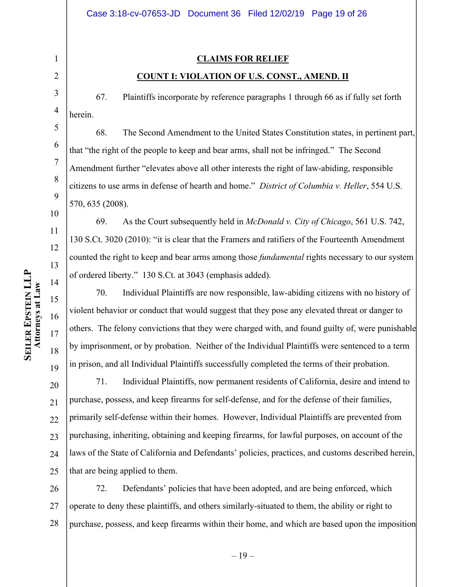### **CLAIMS FOR RELIEF**

#### **COUNT I: VIOLATION OF U.S. CONST., AMEND. II**

67. Plaintiffs incorporate by reference paragraphs 1 through 66 as if fully set forth herein.

68. The Second Amendment to the United States Constitution states, in pertinent part, that "the right of the people to keep and bear arms, shall not be infringed." The Second Amendment further "elevates above all other interests the right of law-abiding, responsible citizens to use arms in defense of hearth and home." *District of Columbia v. Heller*, 554 U.S. 570, 635 (2008).

69. As the Court subsequently held in *McDonald v. City of Chicago*, 561 U.S. 742, 130 S.Ct. 3020 (2010): "it is clear that the Framers and ratifiers of the Fourteenth Amendment counted the right to keep and bear arms among those *fundamental* rights necessary to our system of ordered liberty." 130 S.Ct. at 3043 (emphasis added).

70. Individual Plaintiffs are now responsible, law-abiding citizens with no history of violent behavior or conduct that would suggest that they pose any elevated threat or danger to others. The felony convictions that they were charged with, and found guilty of, were punishable by imprisonment, or by probation. Neither of the Individual Plaintiffs were sentenced to a term in prison, and all Individual Plaintiffs successfully completed the terms of their probation.

20 21 22 23 24 25 71. Individual Plaintiffs, now permanent residents of California, desire and intend to purchase, possess, and keep firearms for self-defense, and for the defense of their families, primarily self-defense within their homes. However, Individual Plaintiffs are prevented from purchasing, inheriting, obtaining and keeping firearms, for lawful purposes, on account of the laws of the State of California and Defendants' policies, practices, and customs described herein, that are being applied to them.

26 27 28 72. Defendants' policies that have been adopted, and are being enforced, which operate to deny these plaintiffs, and others similarly-situated to them, the ability or right to purchase, possess, and keep firearms within their home, and which are based upon the imposition

1

2

3

4

5

6

7

8

9

10

11

12

13

14

15

16

17

18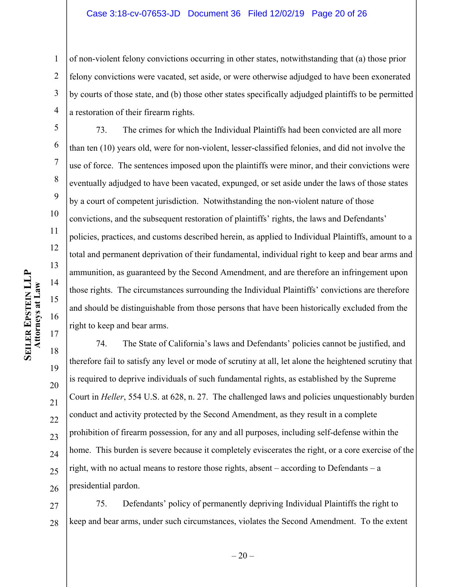#### Case 3:18-cv-07653-JD Document 36 Filed 12/02/19 Page 20 of 26

1 2 3 4 of non-violent felony convictions occurring in other states, notwithstanding that (a) those prior felony convictions were vacated, set aside, or were otherwise adjudged to have been exonerated by courts of those state, and (b) those other states specifically adjudged plaintiffs to be permitted a restoration of their firearm rights.

5 6 7 8 9 10 11 12 13 16 17 73. The crimes for which the Individual Plaintiffs had been convicted are all more than ten (10) years old, were for non-violent, lesser-classified felonies, and did not involve the use of force. The sentences imposed upon the plaintiffs were minor, and their convictions were eventually adjudged to have been vacated, expunged, or set aside under the laws of those states by a court of competent jurisdiction. Notwithstanding the non-violent nature of those convictions, and the subsequent restoration of plaintiffs' rights, the laws and Defendants' policies, practices, and customs described herein, as applied to Individual Plaintiffs, amount to a total and permanent deprivation of their fundamental, individual right to keep and bear arms and ammunition, as guaranteed by the Second Amendment, and are therefore an infringement upon those rights. The circumstances surrounding the Individual Plaintiffs' convictions are therefore and should be distinguishable from those persons that have been historically excluded from the right to keep and bear arms.

18 19 20 21 22 23 24 25 26 74. The State of California's laws and Defendants' policies cannot be justified, and therefore fail to satisfy any level or mode of scrutiny at all, let alone the heightened scrutiny that is required to deprive individuals of such fundamental rights, as established by the Supreme Court in *Heller*, 554 U.S. at 628, n. 27. The challenged laws and policies unquestionably burden conduct and activity protected by the Second Amendment, as they result in a complete prohibition of firearm possession, for any and all purposes, including self-defense within the home. This burden is severe because it completely eviscerates the right, or a core exercise of the right, with no actual means to restore those rights, absent – according to Defendants – a presidential pardon.

27 28 75. Defendants' policy of permanently depriving Individual Plaintiffs the right to keep and bear arms, under such circumstances, violates the Second Amendment. To the extent

14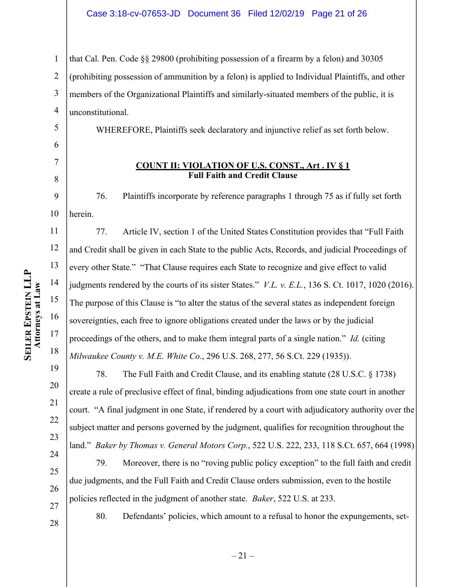1 2 3 4 that Cal. Pen. Code §§ 29800 (prohibiting possession of a firearm by a felon) and 30305 (prohibiting possession of ammunition by a felon) is applied to Individual Plaintiffs, and other members of the Organizational Plaintiffs and similarly-situated members of the public, it is unconstitutional.

WHEREFORE, Plaintiffs seek declaratory and injunctive relief as set forth below.

# 6

5

7 8

## **COUNT II: VIOLATION OF U.S. CONST., Art . IV § 1 Full Faith and Credit Clause**

9 10 76. Plaintiffs incorporate by reference paragraphs 1 through 75 as if fully set forth herein.

11 12 13 14 15 16 17 18 77. Article IV, section 1 of the United States Constitution provides that "Full Faith and Credit shall be given in each State to the public Acts, Records, and judicial Proceedings of every other State." "That Clause requires each State to recognize and give effect to valid judgments rendered by the courts of its sister States." *V.L. v. E.L.*, 136 S. Ct. 1017, 1020 (2016). The purpose of this Clause is "to alter the status of the several states as independent foreign sovereignties, each free to ignore obligations created under the laws or by the judicial proceedings of the others, and to make them integral parts of a single nation." *Id.* (citing *Milwaukee County v. M.E. White Co.*, 296 U.S. 268, 277, 56 S.Ct. 229 (1935)).

78. The Full Faith and Credit Clause, and its enabling statute (28 U.S.C. § 1738) create a rule of preclusive effect of final, binding adjudications from one state court in another court. "A final judgment in one State, if rendered by a court with adjudicatory authority over the subject matter and persons governed by the judgment, qualifies for recognition throughout the land." *Baker by Thomas v. General Motors Corp.*, 522 U.S. 222, 233, 118 S.Ct. 657, 664 (1998)

79. Moreover, there is no "roving public policy exception" to the full faith and credit due judgments, and the Full Faith and Credit Clause orders submission, even to the hostile policies reflected in the judgment of another state. *Baker*, 522 U.S. at 233.

80. Defendants' policies, which amount to a refusal to honor the expungements, set-

# **SEILER EPSTEIN LLP EPSTEIN LLP** Attorneys at Law **Attorneys at Law**

19

20

21

22

23

24

25

26

27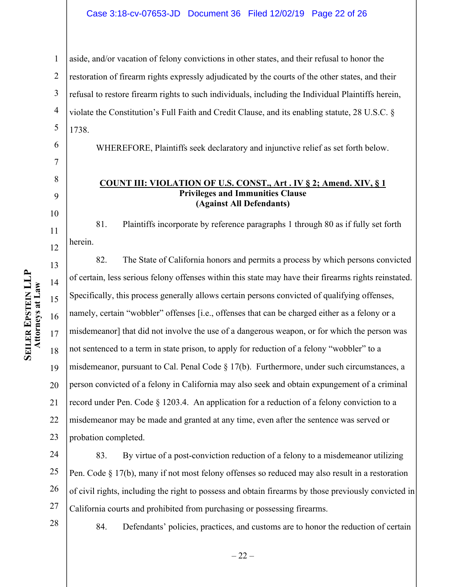#### Case 3:18-cv-07653-JD Document 36 Filed 12/02/19 Page 22 of 26

1 2 3 4 5 aside, and/or vacation of felony convictions in other states, and their refusal to honor the restoration of firearm rights expressly adjudicated by the courts of the other states, and their refusal to restore firearm rights to such individuals, including the Individual Plaintiffs herein, violate the Constitution's Full Faith and Credit Clause, and its enabling statute, 28 U.S.C. § 1738.

WHEREFORE, Plaintiffs seek declaratory and injunctive relief as set forth below.

#### **COUNT III: VIOLATION OF U.S. CONST., Art . IV § 2; Amend. XIV, § 1 Privileges and Immunities Clause (Against All Defendants)**

81. Plaintiffs incorporate by reference paragraphs 1 through 80 as if fully set forth herein.

13 14 15 16 17 18 19 20 21 22 23 82. The State of California honors and permits a process by which persons convicted of certain, less serious felony offenses within this state may have their firearms rights reinstated. Specifically, this process generally allows certain persons convicted of qualifying offenses, namely, certain "wobbler" offenses [i.e., offenses that can be charged either as a felony or a misdemeanor] that did not involve the use of a dangerous weapon, or for which the person was not sentenced to a term in state prison, to apply for reduction of a felony "wobbler" to a misdemeanor, pursuant to Cal. Penal Code § 17(b). Furthermore, under such circumstances, a person convicted of a felony in California may also seek and obtain expungement of a criminal record under Pen. Code § 1203.4. An application for a reduction of a felony conviction to a misdemeanor may be made and granted at any time, even after the sentence was served or probation completed.

24 25 26 27 83. By virtue of a post-conviction reduction of a felony to a misdemeanor utilizing Pen. Code § 17(b), many if not most felony offenses so reduced may also result in a restoration of civil rights, including the right to possess and obtain firearms by those previously convicted in California courts and prohibited from purchasing or possessing firearms.

28

84. Defendants' policies, practices, and customs are to honor the reduction of certain

6

7

8

9

10

11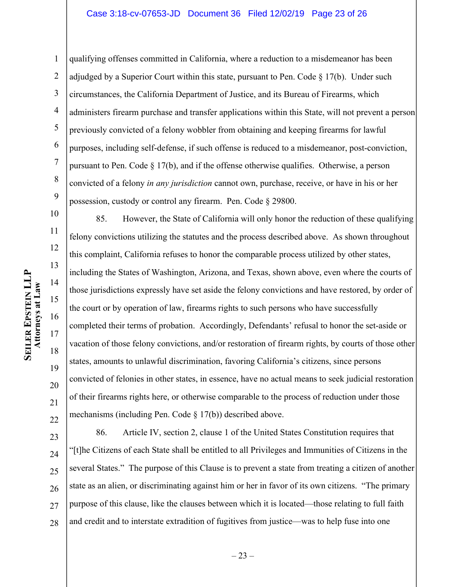1 2 3 4 5 6 7 8 9 qualifying offenses committed in California, where a reduction to a misdemeanor has been adjudged by a Superior Court within this state, pursuant to Pen. Code  $\S 17(b)$ . Under such circumstances, the California Department of Justice, and its Bureau of Firearms, which administers firearm purchase and transfer applications within this State, will not prevent a person previously convicted of a felony wobbler from obtaining and keeping firearms for lawful purposes, including self-defense, if such offense is reduced to a misdemeanor, post-conviction, pursuant to Pen. Code § 17(b), and if the offense otherwise qualifies. Otherwise, a person convicted of a felony *in any jurisdiction* cannot own, purchase, receive, or have in his or her possession, custody or control any firearm. Pen. Code § 29800.

10 11 12 13 14 15 16 17 18 19 20 21 22 85. However, the State of California will only honor the reduction of these qualifying felony convictions utilizing the statutes and the process described above. As shown throughout this complaint, California refuses to honor the comparable process utilized by other states, including the States of Washington, Arizona, and Texas, shown above, even where the courts of those jurisdictions expressly have set aside the felony convictions and have restored, by order of the court or by operation of law, firearms rights to such persons who have successfully completed their terms of probation. Accordingly, Defendants' refusal to honor the set-aside or vacation of those felony convictions, and/or restoration of firearm rights, by courts of those other states, amounts to unlawful discrimination, favoring California's citizens, since persons convicted of felonies in other states, in essence, have no actual means to seek judicial restoration of their firearms rights here, or otherwise comparable to the process of reduction under those mechanisms (including Pen. Code § 17(b)) described above.

23 24 25 26 27 28 86. Article IV, section 2, clause 1 of the United States Constitution requires that "[t]he Citizens of each State shall be entitled to all Privileges and Immunities of Citizens in the several States." The purpose of this Clause is to prevent a state from treating a citizen of another state as an alien, or discriminating against him or her in favor of its own citizens. "The primary purpose of this clause, like the clauses between which it is located—those relating to full faith and credit and to interstate extradition of fugitives from justice—was to help fuse into one

 $-23-$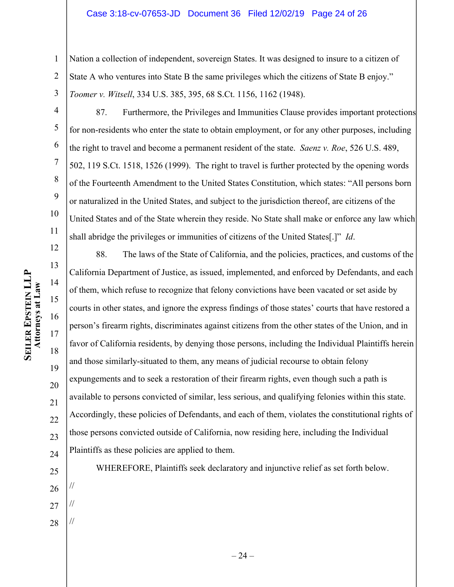#### Case 3:18-cv-07653-JD Document 36 Filed 12/02/19 Page 24 of 26

1 2 3 Nation a collection of independent, sovereign States. It was designed to insure to a citizen of State A who ventures into State B the same privileges which the citizens of State B enjoy." *Toomer v. Witsell*, 334 U.S. 385, 395, 68 S.Ct. 1156, 1162 (1948).

4

5

6

7

8

9

10

11

87. Furthermore, the Privileges and Immunities Clause provides important protections for non-residents who enter the state to obtain employment, or for any other purposes, including the right to travel and become a permanent resident of the state. *Saenz v. Roe*, 526 U.S. 489, 502, 119 S.Ct. 1518, 1526 (1999). The right to travel is further protected by the opening words of the Fourteenth Amendment to the United States Constitution, which states: "All persons born or naturalized in the United States, and subject to the jurisdiction thereof, are citizens of the United States and of the State wherein they reside. No State shall make or enforce any law which shall abridge the privileges or immunities of citizens of the United States[.]" *Id*.

12 13 14 15 16 17 18 19 20 21 22 23 88. The laws of the State of California, and the policies, practices, and customs of the California Department of Justice, as issued, implemented, and enforced by Defendants, and each of them, which refuse to recognize that felony convictions have been vacated or set aside by courts in other states, and ignore the express findings of those states' courts that have restored a person's firearm rights, discriminates against citizens from the other states of the Union, and in favor of California residents, by denying those persons, including the Individual Plaintiffs herein and those similarly-situated to them, any means of judicial recourse to obtain felony expungements and to seek a restoration of their firearm rights, even though such a path is available to persons convicted of similar, less serious, and qualifying felonies within this state. Accordingly, these policies of Defendants, and each of them, violates the constitutional rights of those persons convicted outside of California, now residing here, including the Individual Plaintiffs as these policies are applied to them.

//

//

28 // WHEREFORE, Plaintiffs seek declaratory and injunctive relief as set forth below.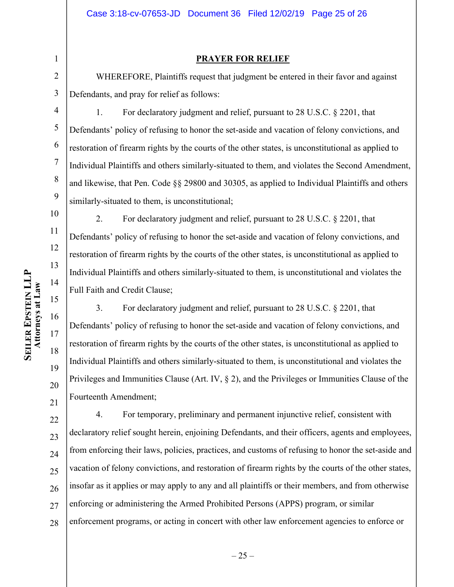1 2

#### **PRAYER FOR RELIEF**

WHEREFORE, Plaintiffs request that judgment be entered in their favor and against Defendants, and pray for relief as follows:

3 4

5

6

7

8

9

10

11

12

13

14

15

16

17

18

19

20

21

1. For declaratory judgment and relief, pursuant to 28 U.S.C. § 2201, that Defendants' policy of refusing to honor the set-aside and vacation of felony convictions, and restoration of firearm rights by the courts of the other states, is unconstitutional as applied to Individual Plaintiffs and others similarly-situated to them, and violates the Second Amendment, and likewise, that Pen. Code §§ 29800 and 30305, as applied to Individual Plaintiffs and others similarly-situated to them, is unconstitutional;

2. For declaratory judgment and relief, pursuant to 28 U.S.C. § 2201, that Defendants' policy of refusing to honor the set-aside and vacation of felony convictions, and restoration of firearm rights by the courts of the other states, is unconstitutional as applied to Individual Plaintiffs and others similarly-situated to them, is unconstitutional and violates the Full Faith and Credit Clause;

3. For declaratory judgment and relief, pursuant to 28 U.S.C. § 2201, that Defendants' policy of refusing to honor the set-aside and vacation of felony convictions, and restoration of firearm rights by the courts of the other states, is unconstitutional as applied to Individual Plaintiffs and others similarly-situated to them, is unconstitutional and violates the Privileges and Immunities Clause (Art. IV, § 2), and the Privileges or Immunities Clause of the Fourteenth Amendment;

22 23 24 25 26 27 28 4. For temporary, preliminary and permanent injunctive relief, consistent with declaratory relief sought herein, enjoining Defendants, and their officers, agents and employees, from enforcing their laws, policies, practices, and customs of refusing to honor the set-aside and vacation of felony convictions, and restoration of firearm rights by the courts of the other states, insofar as it applies or may apply to any and all plaintiffs or their members, and from otherwise enforcing or administering the Armed Prohibited Persons (APPS) program, or similar enforcement programs, or acting in concert with other law enforcement agencies to enforce or